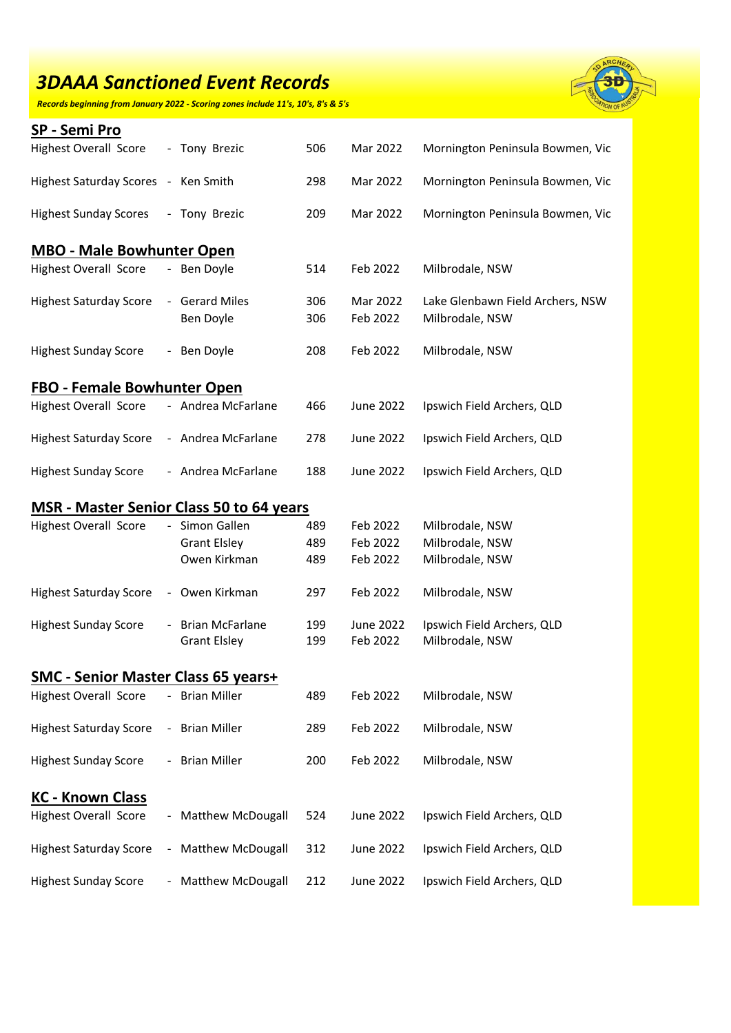*Records beginning from January 2022 - Scoring zones include 11's, 10's, 8's & 5's*



| SP - Semi Pro                                   |                |                                          |            |                       |                                                     |  |  |
|-------------------------------------------------|----------------|------------------------------------------|------------|-----------------------|-----------------------------------------------------|--|--|
| <b>Highest Overall Score</b>                    |                | - Tony Brezic                            | 506        | Mar 2022              | Mornington Peninsula Bowmen, Vic                    |  |  |
| Highest Saturday Scores - Ken Smith             |                |                                          | 298        | Mar 2022              | Mornington Peninsula Bowmen, Vic                    |  |  |
| <b>Highest Sunday Scores</b>                    |                | - Tony Brezic                            | 209        | Mar 2022              | Mornington Peninsula Bowmen, Vic                    |  |  |
| <b>MBO - Male Bowhunter Open</b>                |                |                                          |            |                       |                                                     |  |  |
| <b>Highest Overall Score</b>                    |                | - Ben Doyle                              | 514        | Feb 2022              | Milbrodale, NSW                                     |  |  |
| <b>Highest Saturday Score</b>                   |                | - Gerard Miles<br>Ben Doyle              | 306<br>306 | Mar 2022<br>Feb 2022  | Lake Glenbawn Field Archers, NSW<br>Milbrodale, NSW |  |  |
| <b>Highest Sunday Score</b>                     |                | - Ben Doyle                              | 208        | Feb 2022              | Milbrodale, NSW                                     |  |  |
| <b>FBO - Female Bowhunter Open</b>              |                |                                          |            |                       |                                                     |  |  |
| <b>Highest Overall Score</b>                    |                | - Andrea McFarlane                       | 466        | June 2022             | Ipswich Field Archers, QLD                          |  |  |
| <b>Highest Saturday Score</b>                   |                | - Andrea McFarlane                       | 278        | <b>June 2022</b>      | Ipswich Field Archers, QLD                          |  |  |
| <b>Highest Sunday Score</b>                     |                | - Andrea McFarlane                       | 188        | <b>June 2022</b>      | Ipswich Field Archers, QLD                          |  |  |
| <b>MSR</b> - Master Senior Class 50 to 64 years |                |                                          |            |                       |                                                     |  |  |
| <b>Highest Overall Score</b>                    |                | - Simon Gallen                           | 489        | Feb 2022              | Milbrodale, NSW                                     |  |  |
|                                                 |                | <b>Grant Elsley</b>                      | 489        | Feb 2022              | Milbrodale, NSW                                     |  |  |
|                                                 |                | Owen Kirkman                             | 489        | Feb 2022              | Milbrodale, NSW                                     |  |  |
| <b>Highest Saturday Score</b>                   |                | - Owen Kirkman                           | 297        | Feb 2022              | Milbrodale, NSW                                     |  |  |
| <b>Highest Sunday Score</b>                     |                | - Brian McFarlane<br><b>Grant Elsley</b> | 199<br>199 | June 2022<br>Feb 2022 | Ipswich Field Archers, QLD<br>Milbrodale, NSW       |  |  |
| <b>SMC - Senior Master Class 65 years+</b>      |                |                                          |            |                       |                                                     |  |  |
| <b>Highest Overall Score</b>                    |                | - Brian Miller                           | 489        | Feb 2022              | Milbrodale, NSW                                     |  |  |
| <b>Highest Saturday Score</b>                   |                | - Brian Miller                           | 289        | Feb 2022              | Milbrodale, NSW                                     |  |  |
| <b>Highest Sunday Score</b>                     |                | <b>Brian Miller</b>                      | 200        | Feb 2022              | Milbrodale, NSW                                     |  |  |
| <b>KC - Known Class</b>                         |                |                                          |            |                       |                                                     |  |  |
| <b>Highest Overall Score</b>                    |                | - Matthew McDougall                      | 524        | <b>June 2022</b>      | Ipswich Field Archers, QLD                          |  |  |
| <b>Highest Saturday Score</b>                   | $\blacksquare$ | <b>Matthew McDougall</b>                 | 312        | June 2022             | Ipswich Field Archers, QLD                          |  |  |
| <b>Highest Sunday Score</b>                     |                | <b>Matthew McDougall</b>                 | 212        | <b>June 2022</b>      | Ipswich Field Archers, QLD                          |  |  |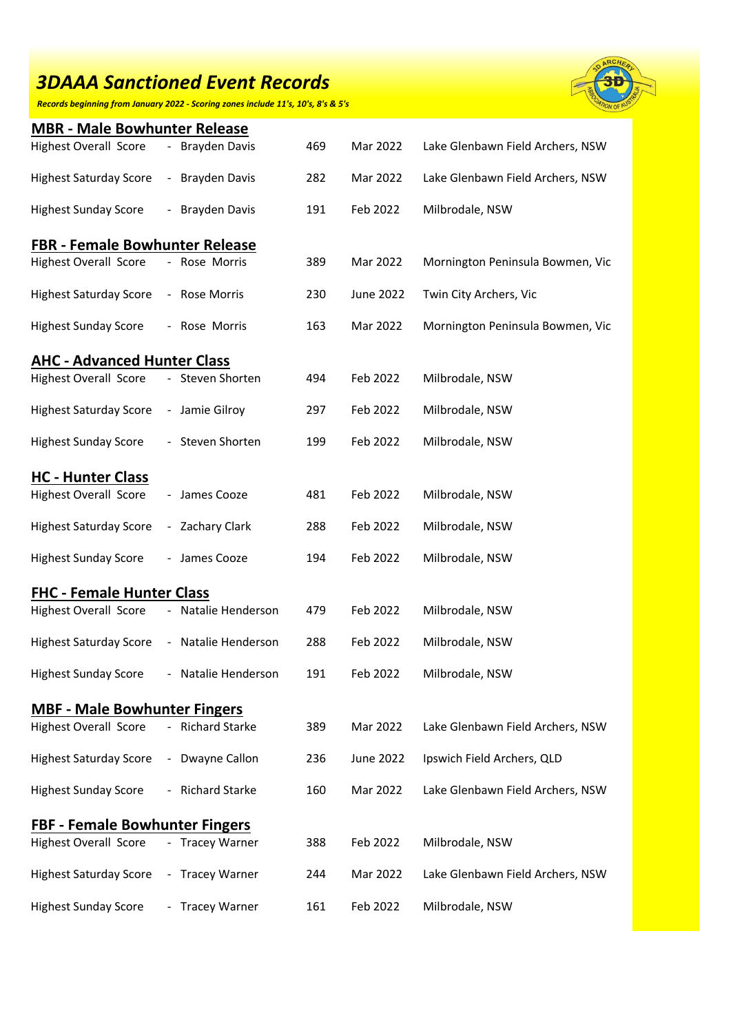*Records beginning from January 2022 - Scoring zones include 11's, 10's, 8's & 5's*



| <b>MBR - Male Bowhunter Release</b>   |                |                      |     |                  |                                  |  |  |
|---------------------------------------|----------------|----------------------|-----|------------------|----------------------------------|--|--|
| <b>Highest Overall Score</b>          | $\sim$         | <b>Brayden Davis</b> | 469 | Mar 2022         | Lake Glenbawn Field Archers, NSW |  |  |
| <b>Highest Saturday Score</b>         |                | - Brayden Davis      | 282 | Mar 2022         | Lake Glenbawn Field Archers, NSW |  |  |
| <b>Highest Sunday Score</b>           |                | - Brayden Davis      | 191 | Feb 2022         | Milbrodale, NSW                  |  |  |
| <b>FBR - Female Bowhunter Release</b> |                |                      |     |                  |                                  |  |  |
| <b>Highest Overall Score</b>          |                | - Rose Morris        | 389 | Mar 2022         | Mornington Peninsula Bowmen, Vic |  |  |
| <b>Highest Saturday Score</b>         |                | - Rose Morris        | 230 | <b>June 2022</b> | Twin City Archers, Vic           |  |  |
| <b>Highest Sunday Score</b>           |                | - Rose Morris        | 163 | Mar 2022         | Mornington Peninsula Bowmen, Vic |  |  |
| <b>AHC - Advanced Hunter Class</b>    |                |                      |     |                  |                                  |  |  |
| <b>Highest Overall Score</b>          |                | - Steven Shorten     | 494 | Feb 2022         | Milbrodale, NSW                  |  |  |
| <b>Highest Saturday Score</b>         |                | - Jamie Gilroy       | 297 | Feb 2022         | Milbrodale, NSW                  |  |  |
| <b>Highest Sunday Score</b>           |                | - Steven Shorten     | 199 | Feb 2022         | Milbrodale, NSW                  |  |  |
| <b>HC - Hunter Class</b>              |                |                      |     |                  |                                  |  |  |
| <b>Highest Overall Score</b>          |                | - James Cooze        | 481 | Feb 2022         | Milbrodale, NSW                  |  |  |
| <b>Highest Saturday Score</b>         |                | - Zachary Clark      | 288 | Feb 2022         | Milbrodale, NSW                  |  |  |
| <b>Highest Sunday Score</b>           |                | - James Cooze        | 194 | Feb 2022         | Milbrodale, NSW                  |  |  |
| <b>FHC - Female Hunter Class</b>      |                |                      |     |                  |                                  |  |  |
| <b>Highest Overall Score</b>          |                | Natalie Henderson    | 479 | Feb 2022         | Milbrodale, NSW                  |  |  |
| <b>Highest Saturday Score</b>         |                | - Natalie Henderson  | 288 | Feb 2022         | Milbrodale, NSW                  |  |  |
| <b>Highest Sunday Score</b>           |                | Natalie Henderson    | 191 | Feb 2022         | Milbrodale, NSW                  |  |  |
| <b>MBF - Male Bowhunter Fingers</b>   |                |                      |     |                  |                                  |  |  |
| <b>Highest Overall Score</b>          |                | - Richard Starke     | 389 | Mar 2022         | Lake Glenbawn Field Archers, NSW |  |  |
| <b>Highest Saturday Score</b>         | $\blacksquare$ | Dwayne Callon        | 236 | <b>June 2022</b> | Ipswich Field Archers, QLD       |  |  |
| <b>Highest Sunday Score</b>           |                | - Richard Starke     | 160 | Mar 2022         | Lake Glenbawn Field Archers, NSW |  |  |
| <b>FBF - Female Bowhunter Fingers</b> |                |                      |     |                  |                                  |  |  |
| <b>Highest Overall Score</b>          |                | - Tracey Warner      | 388 | Feb 2022         | Milbrodale, NSW                  |  |  |
| <b>Highest Saturday Score</b>         |                | - Tracey Warner      | 244 | Mar 2022         | Lake Glenbawn Field Archers, NSW |  |  |
| <b>Highest Sunday Score</b>           |                | <b>Tracey Warner</b> | 161 | Feb 2022         | Milbrodale, NSW                  |  |  |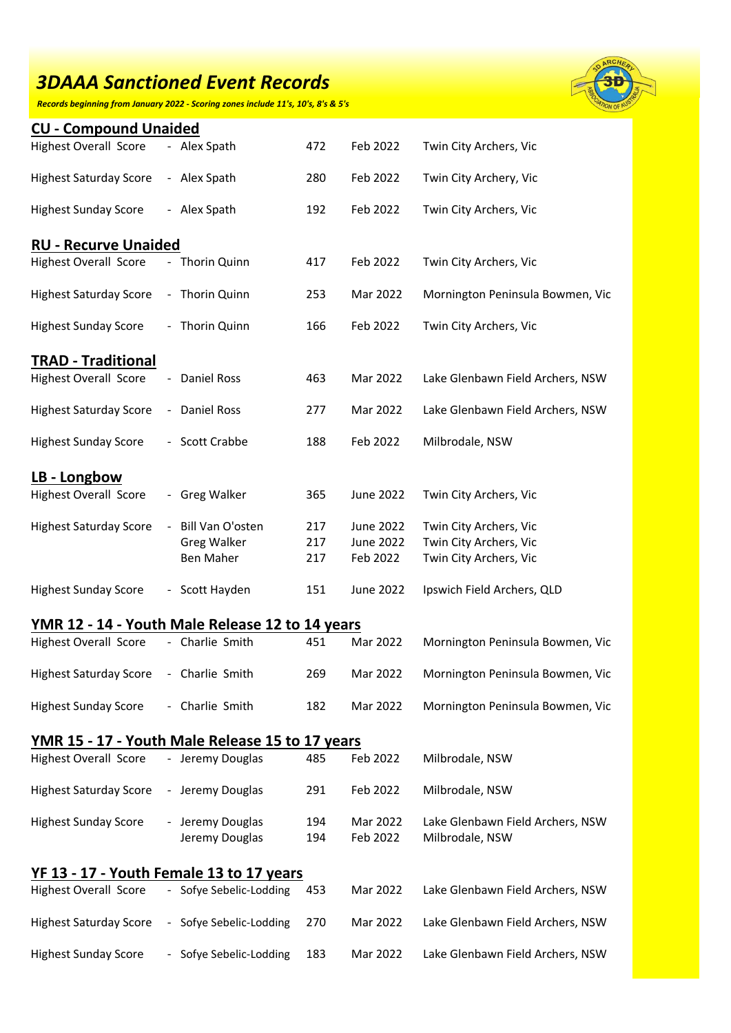*Records beginning from January 2022 - Scoring zones include 11's, 10's, 8's & 5's*



| <b>CU - Compound Unaided</b>                    |  |                         |     |                  |                                  |  |
|-------------------------------------------------|--|-------------------------|-----|------------------|----------------------------------|--|
| <b>Highest Overall Score</b>                    |  | - Alex Spath            | 472 | Feb 2022         | Twin City Archers, Vic           |  |
| <b>Highest Saturday Score</b>                   |  | - Alex Spath            | 280 | Feb 2022         | Twin City Archery, Vic           |  |
| <b>Highest Sunday Score</b>                     |  | - Alex Spath            | 192 | Feb 2022         | Twin City Archers, Vic           |  |
| <b>RU - Recurve Unaided</b>                     |  |                         |     |                  |                                  |  |
| <b>Highest Overall Score</b>                    |  | - Thorin Quinn          | 417 | Feb 2022         | Twin City Archers, Vic           |  |
| <b>Highest Saturday Score</b>                   |  | - Thorin Quinn          | 253 | Mar 2022         | Mornington Peninsula Bowmen, Vic |  |
| <b>Highest Sunday Score</b>                     |  | - Thorin Quinn          | 166 | Feb 2022         | Twin City Archers, Vic           |  |
| <b>TRAD - Traditional</b>                       |  |                         |     |                  |                                  |  |
| <b>Highest Overall Score</b>                    |  | - Daniel Ross           | 463 | Mar 2022         | Lake Glenbawn Field Archers, NSW |  |
| <b>Highest Saturday Score</b>                   |  | - Daniel Ross           | 277 | Mar 2022         | Lake Glenbawn Field Archers, NSW |  |
| <b>Highest Sunday Score</b>                     |  | - Scott Crabbe          | 188 | Feb 2022         | Milbrodale, NSW                  |  |
| LB - Longbow                                    |  |                         |     |                  |                                  |  |
| <b>Highest Overall Score</b>                    |  | - Greg Walker           | 365 | June 2022        | Twin City Archers, Vic           |  |
| <b>Highest Saturday Score</b>                   |  | Bill Van O'osten        | 217 | June 2022        | Twin City Archers, Vic           |  |
|                                                 |  | <b>Greg Walker</b>      | 217 | June 2022        | Twin City Archers, Vic           |  |
|                                                 |  | Ben Maher               | 217 | Feb 2022         | Twin City Archers, Vic           |  |
| <b>Highest Sunday Score</b>                     |  | - Scott Hayden          | 151 | <b>June 2022</b> | Ipswich Field Archers, QLD       |  |
| YMR 12 - 14 - Youth Male Release 12 to 14 years |  |                         |     |                  |                                  |  |
| <b>Highest Overall Score</b>                    |  | - Charlie Smith         | 451 | Mar 2022         | Mornington Peninsula Bowmen, Vic |  |
| <b>Highest Saturday Score</b>                   |  | - Charlie Smith         | 269 | Mar 2022         | Mornington Peninsula Bowmen, Vic |  |
| <b>Highest Sunday Score</b>                     |  | - Charlie Smith         | 182 | Mar 2022         | Mornington Peninsula Bowmen, Vic |  |
| YMR 15 - 17 - Youth Male Release 15 to 17 years |  |                         |     |                  |                                  |  |
| <b>Highest Overall Score</b>                    |  | - Jeremy Douglas        | 485 | Feb 2022         | Milbrodale, NSW                  |  |
| <b>Highest Saturday Score</b>                   |  | - Jeremy Douglas        | 291 | Feb 2022         | Milbrodale, NSW                  |  |
| <b>Highest Sunday Score</b>                     |  | - Jeremy Douglas        | 194 | Mar 2022         | Lake Glenbawn Field Archers, NSW |  |
|                                                 |  | Jeremy Douglas          | 194 | Feb 2022         | Milbrodale, NSW                  |  |
| YF 13 - 17 - Youth Female 13 to 17 years        |  |                         |     |                  |                                  |  |
| <b>Highest Overall Score</b>                    |  | - Sofye Sebelic-Lodding | 453 | Mar 2022         | Lake Glenbawn Field Archers, NSW |  |
| <b>Highest Saturday Score</b>                   |  | - Sofye Sebelic-Lodding | 270 | Mar 2022         | Lake Glenbawn Field Archers, NSW |  |
| <b>Highest Sunday Score</b>                     |  | Sofye Sebelic-Lodding   | 183 | Mar 2022         | Lake Glenbawn Field Archers, NSW |  |